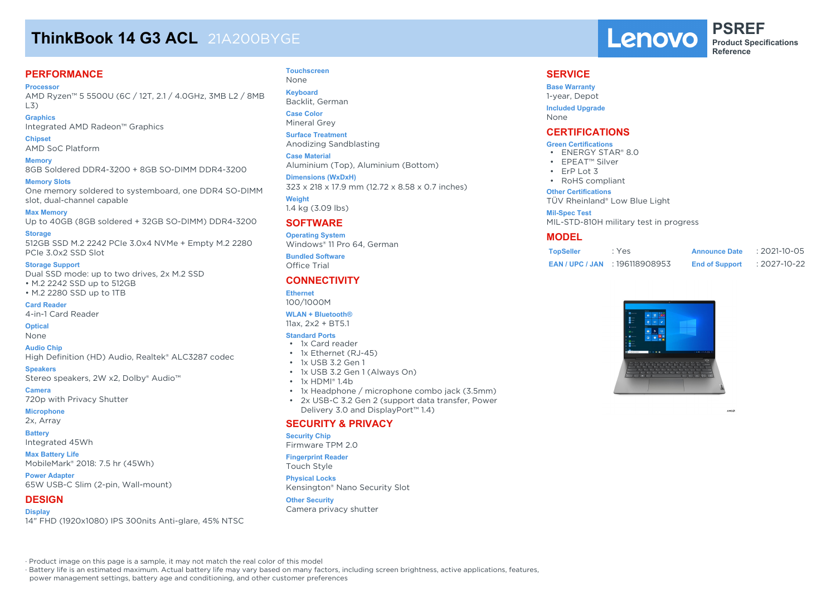# **ThinkBook 14 G3 ACL** 21A200BYGE

# **PERFORMANCE**

**Processor**

AMD Ryzen™ 5 5500U (6C / 12T, 2.1 / 4.0GHz, 3MB L2 / 8MB L3)

**Graphics** Integrated AMD Radeon™ Graphics

**Chipset** AMD SoC Platform

**Memory**

8GB Soldered DDR4-3200 + 8GB SO-DIMM DDR4-3200

**Memory Slots**

One memory soldered to systemboard, one DDR4 SO-DIMM slot, dual-channel capable

**Max Memory** Up to 40GB (8GB soldered + 32GB SO-DIMM) DDR4-3200

**Storage** 512GB SSD M.2 2242 PCIe 3.0x4 NVMe + Empty M.2 2280 PCIe 3.0x2 SSD Slot

#### **Storage Support**

Dual SSD mode: up to two drives, 2x M.2 SSD • M.2 2242 SSD up to 512GB • M.2 2280 SSD up to 1TB

**Card Reader** 4-in-1 Card Reader

**Optical**

None

**Audio Chip**

High Definition (HD) Audio, Realtek® ALC3287 codec

**Speakers** Stereo speakers, 2W x2, Dolby® Audio™

**Camera** 720p with Privacy Shutter

**Microphone**

2x, Array

**Battery**

Integrated 45Wh

**Max Battery Life** MobileMark® 2018: 7.5 hr (45Wh)

**Power Adapter** 65W USB-C Slim (2-pin, Wall-mount)

#### **DESIGN**

**Display** 14" FHD (1920x1080) IPS 300nits Anti-glare, 45% NTSC

#### **Touchscreen** None

**Keyboard** Backlit, German

**Case Color**

Mineral Grey **Surface Treatment** Anodizing Sandblasting

**Case Material** Aluminium (Top), Aluminium (Bottom)

**Dimensions (WxDxH)** 323 x 218 x 17.9 mm (12.72 x 8.58 x 0.7 inches)

**Weight** 1.4 kg (3.09 lbs)

# **SOFTWARE**

**Operating System** Windows® 11 Pro 64, German

**Bundled Software** Office Trial

## **CONNECTIVITY**

**Ethernet** 100/1000M

## **WLAN + Bluetooth®**

11ax, 2x2 + BT5.1

### **Standard Ports**

- 1x Card reader • 1x Ethernet (RJ-45)
- 1x USB 3.2 Gen 1
- 1x USB 3.2 Gen 1 (Always On)
- 1x HDMI® 1.4b
- 1x Headphone / microphone combo jack (3.5mm)
- 2x USB-C 3.2 Gen 2 (support data transfer, Power Delivery 3.0 and DisplayPort™ 1.4)

## **SECURITY & PRIVACY**

#### **Security Chip**

Firmware TPM 2.0

#### **Fingerprint Reader**

Touch Style

**Physical Locks** Kensington® Nano Security Slot

#### **Other Security**

Camera privacy shutter



**PSREF Product Specifications Reference**

#### **SERVICE**

**Base Warranty** 1-year, Depot **Included Upgrade** None

## **CERTIFICATIONS**

#### **Green Certifications**

- ENERGY STAR® 8.0
- EPEAT™ Silver
- ErP Lot 3
- RoHS compliant

#### **Other Certifications**

TÜV Rheinland® Low Blue Light

#### **Mil-Spec Test**

MIL-STD-810H military test in progress

### **MODEL**

| <b>TopSeller</b> | : Yes                            | <b>Announce Date</b>  | $: 2021 - 10 - 05$ |
|------------------|----------------------------------|-----------------------|--------------------|
|                  | <b>EAN/UPC/JAN: 196118908953</b> | <b>End of Support</b> | : 2027-10-22       |



AMD.

· Product image on this page is a sample, it may not match the real color of this model

· Battery life is an estimated maximum. Actual battery life may vary based on many factors, including screen brightness, active applications, features,

power management settings, battery age and conditioning, and other customer preferences